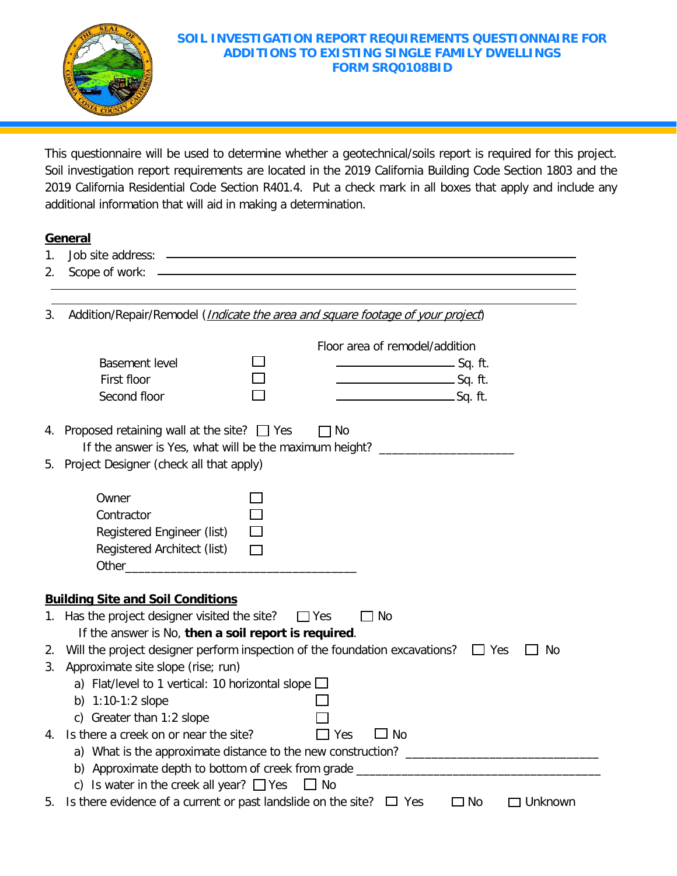

## **SOIL INVESTIGATION REPORT REQUIREMENTS QUESTIONNAIRE FOR ADDITIONS TO EXISTING SINGLE FAMILY DWELLINGS FORM SRQ0108BID**

This questionnaire will be used to determine whether a geotechnical/soils report is required for this project. Soil investigation report requirements are located in the 2019 California Building Code Section 1803 and the 2019 California Residential Code Section R401.4. Put a check mark in all boxes that apply and include any additional information that will aid in making a determination.

## **General**

- 1. Job site address:
- 2. Scope of work:

3. Addition/Repair/Remodel (*Indicate the area and square footage of your project*)

|    | <b>Basement level</b>                                                                                                                  |                                                                             |            | Floor area of remodel/addition<br>_____________________________Sq. ft. |                  |  |  |
|----|----------------------------------------------------------------------------------------------------------------------------------------|-----------------------------------------------------------------------------|------------|------------------------------------------------------------------------|------------------|--|--|
|    | First floor<br>Second floor                                                                                                            |                                                                             |            | Sq. ft.                                                                |                  |  |  |
|    | 4. Proposed retaining wall at the site? $\Box$ Yes<br>If the answer is Yes, what will be the maximum height? _________________________ |                                                                             | 1 No       |                                                                        |                  |  |  |
|    | 5. Project Designer (check all that apply)                                                                                             |                                                                             |            |                                                                        |                  |  |  |
|    | Owner                                                                                                                                  |                                                                             |            |                                                                        |                  |  |  |
|    | Contractor<br>Registered Engineer (list)                                                                                               |                                                                             |            |                                                                        |                  |  |  |
|    | Registered Architect (list)                                                                                                            | $\Box$                                                                      |            |                                                                        |                  |  |  |
|    |                                                                                                                                        |                                                                             |            |                                                                        |                  |  |  |
|    |                                                                                                                                        |                                                                             |            |                                                                        |                  |  |  |
|    | <b>Building Site and Soil Conditions</b>                                                                                               |                                                                             |            |                                                                        |                  |  |  |
|    |                                                                                                                                        | 1. Has the project designer visited the site?<br>$\Box$ Yes<br>$\square$ No |            |                                                                        |                  |  |  |
|    | If the answer is No, then a soil report is required.                                                                                   |                                                                             |            |                                                                        |                  |  |  |
| 2. | Will the project designer perform inspection of the foundation excavations?                                                            |                                                                             |            |                                                                        | $\Box$ Yes<br>No |  |  |
| 3. | Approximate site slope (rise; run)                                                                                                     |                                                                             |            |                                                                        |                  |  |  |
|    | a) Flat/level to 1 vertical: 10 horizontal slope $\square$                                                                             |                                                                             |            |                                                                        |                  |  |  |
|    | b) $1:10-1:2$ slope                                                                                                                    |                                                                             |            |                                                                        |                  |  |  |
|    | c) Greater than 1:2 slope                                                                                                              |                                                                             |            |                                                                        |                  |  |  |
| 4. | Is there a creek on or near the site?                                                                                                  |                                                                             | $\Box$ Yes | $\Box$ No                                                              |                  |  |  |
|    |                                                                                                                                        |                                                                             |            |                                                                        |                  |  |  |
|    | b) Approximate depth to bottom of creek from grade ______________________________                                                      |                                                                             |            |                                                                        |                  |  |  |
|    | c) Is water in the creek all year? $\Box$ Yes $\Box$ No                                                                                |                                                                             |            |                                                                        |                  |  |  |
| 5. | Is there evidence of a current or past landslide on the site? $\Box$ Yes                                                               |                                                                             |            | $\square$ No                                                           | $\Box$ Unknown   |  |  |